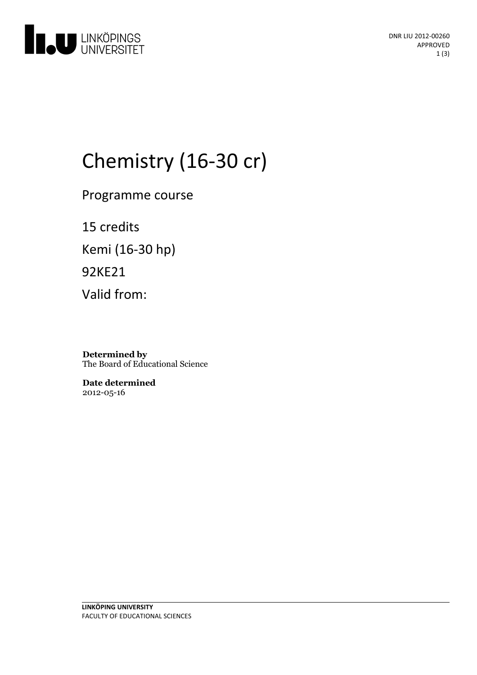

# Chemistry (16-30 cr)

Programme course

15 credits Kemi (16-30 hp) 92KE21 Valid from:

**Determined by** The Board of Educational Science

**Date determined** 2012-05-16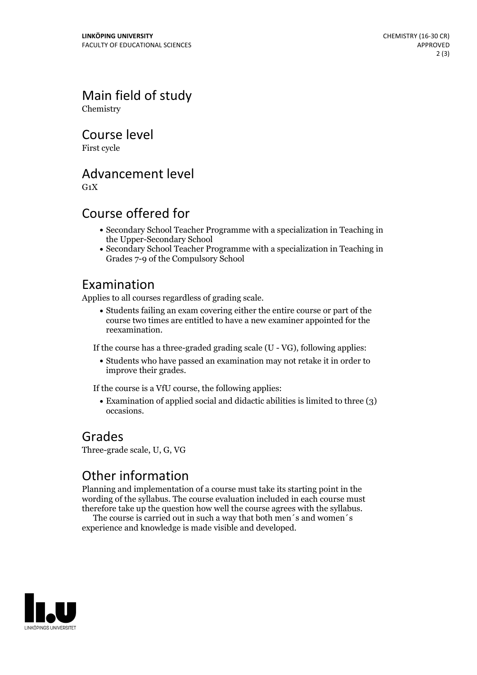Main field of study Chemistry

Course level

First cycle

Advancement level

 $G_1X$ 

#### Course offered for

- Secondary School Teacher Programme with a specialization in Teaching in the Upper-Secondary School
- Secondary School Teacher Programme with a specialization in Teaching in Grades 7-9 of the Compulsory School

#### Examination

Applies to all courses regardless of grading scale.

Students failing an exam covering either the entire course or part of the course two times are entitled to have a new examiner appointed for the reexamination.

If the course has a three-graded grading scale (U - VG), following applies:

Students who have passed an examination may not retake it in order to improve their grades.

If the course is a VfU course, the following applies:

Examination of applied social and didactic abilities is limited to three (3) occasions.

#### Grades

Three-grade scale, U, G, VG

### Other information

Planning and implementation of a course must take its starting point in the wording of the syllabus. The course evaluation included in each course must therefore take up the question how well the course agrees with the syllabus. The course is carried outin such <sup>a</sup> way that both men´s and women´s

experience and knowledge is made visible and developed.